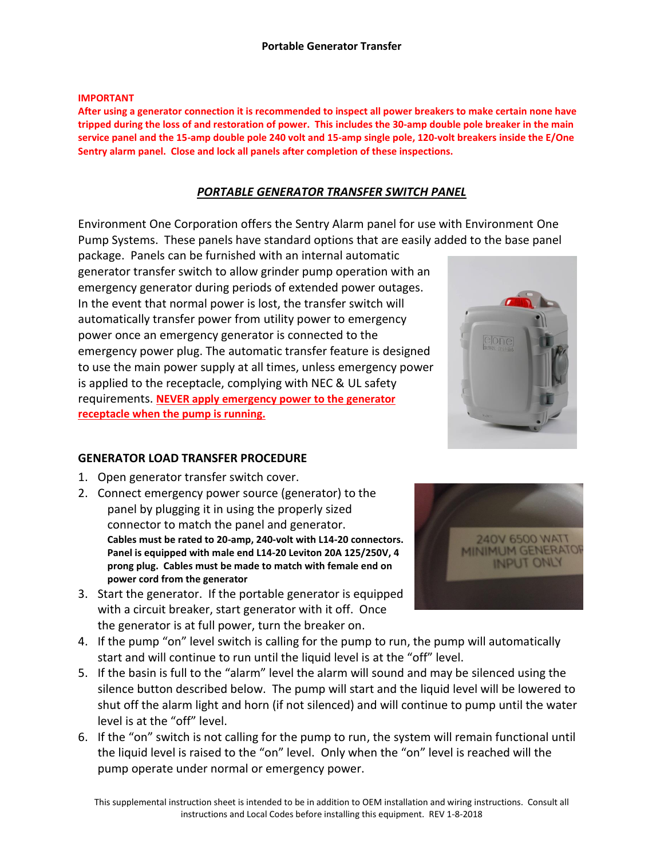#### **IMPORTANT**

**After using a generator connection it is recommended to inspect all power breakers to make certain none have tripped during the loss of and restoration of power. This includes the 30-amp double pole breaker in the main service panel and the 15-amp double pole 240 volt and 15-amp single pole, 120-volt breakers inside the E/One Sentry alarm panel. Close and lock all panels after completion of these inspections.**

# *PORTABLE GENERATOR TRANSFER SWITCH PANEL*

Environment One Corporation offers the Sentry Alarm panel for use with Environment One Pump Systems. These panels have standard options that are easily added to the base panel

package. Panels can be furnished with an internal automatic generator transfer switch to allow grinder pump operation with an emergency generator during periods of extended power outages. In the event that normal power is lost, the transfer switch will automatically transfer power from utility power to emergency power once an emergency generator is connected to the emergency power plug. The automatic transfer feature is designed to use the main power supply at all times, unless emergency power is applied to the receptacle, complying with NEC & UL safety requirements. **NEVER apply emergency power to the generator receptacle when the pump is running.**

### **GENERATOR LOAD TRANSFER PROCEDURE**

- 1. Open generator transfer switch cover.
- 2. Connect emergency power source (generator) to the panel by plugging it in using the properly sized connector to match the panel and generator. **Cables must be rated to 20-amp, 240-volt with L14-20 connectors. Panel is equipped with male end L14-20 Leviton 20A 125/250V, 4 prong plug. Cables must be made to match with female end on power cord from the generator**
- 3. Start the generator. If the portable generator is equipped with a circuit breaker, start generator with it off. Once the generator is at full power, turn the breaker on.



- 5. If the basin is full to the "alarm" level the alarm will sound and may be silenced using the silence button described below. The pump will start and the liquid level will be lowered to shut off the alarm light and horn (if not silenced) and will continue to pump until the water level is at the "off" level.
- 6. If the "on" switch is not calling for the pump to run, the system will remain functional until the liquid level is raised to the "on" level. Only when the "on" level is reached will the pump operate under normal or emergency power.